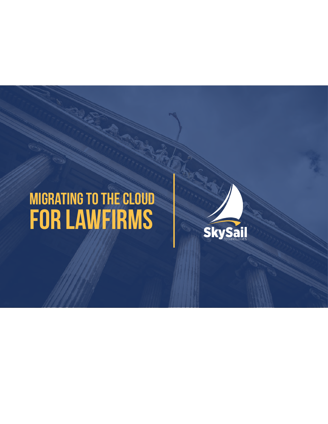# **Migrating to the Cloud for LawFirms**

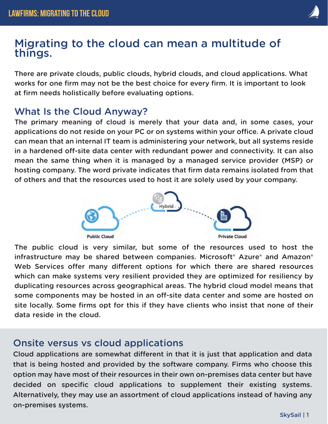#### Migrating to the cloud can mean a multitude of things.

There are private clouds, public clouds, hybrid clouds, and cloud applications. What works for one firm may not be the best choice for every firm. It is important to look at firm needs holistically before evaluating options.

#### What Is the Cloud Anyway?

The primary meaning of cloud is merely that your data and, in some cases, your applications do not reside on your PC or on systems within your office. A private cloud can mean that an internal IT team is administering your network, but all systems reside in a hardened off-site data center with redundant power and connectivity. It can also mean the same thing when it is managed by a managed service provider (MSP) or hosting company. The word private indicates that firm data remains isolated from that of others and that the resources used to host it are solely used by your company.



The public cloud is very similar, but some of the resources used to host the infrastructure may be shared between companies. Microsoft® Azure® and Amazon® Web Services offer many different options for which there are shared resources which can make systems very resilient provided they are optimized for resiliency by duplicating resources across geographical areas. The hybrid cloud model means that some components may be hosted in an off-site data center and some are hosted on site locally. Some firms opt for this if they have clients who insist that none of their data reside in the cloud.

#### Onsite versus vs cloud applications

Cloud applications are somewhat different in that it is just that application and data that is being hosted and provided by the software company. Firms who choose this option may have most of their resources in their own on-premises data center but have decided on specific cloud applications to supplement their existing systems. Alternatively, they may use an assortment of cloud applications instead of having any on-premises systems.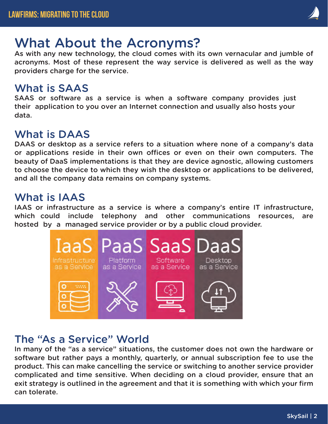

# What About the Acronyms?

As with any new technology, the cloud comes with its own vernacular and jumble of acronyms. Most of these represent the way service is delivered as well as the way providers charge for the service.

## What is SAAS

SAAS or software as a service is when a software company provides just their application to you over an Internet connection and usually also hosts your data.

## What is DAAS

DAAS or desktop as a service refers to a situation where none of a company's data or applications reside in their own offices or even on their own computers. The beauty of DaaS implementations is that they are device agnostic, allowing customers to choose the device to which they wish the desktop or applications to be delivered, and all the company data remains on company systems.

#### What is IAAS

IAAS or infrastructure as a service is where a company's entire IT infrastructure, which could include telephony and other communications resources, are hosted by a managed service provider or by a public cloud provider.



## The "As a Service" World

In many of the "as a service" situations, the customer does not own the hardware or software but rather pays a monthly, quarterly, or annual subscription fee to use the product. This can make cancelling the service or switching to another service provider complicated and time sensitive. When deciding on a cloud provider, ensure that an exit strategy is outlined in the agreement and that it is something with which your firm can tolerate.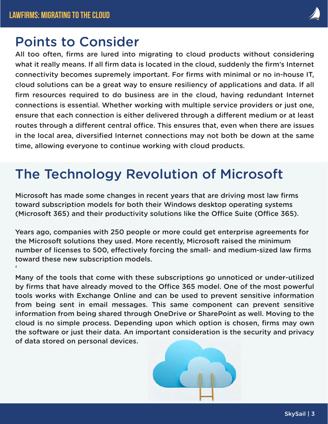$\epsilon$ 

## Points to Consider

All too often, firms are lured into migrating to cloud products without considering what it really means. If all firm data is located in the cloud, suddenly the firm's Internet connectivity becomes supremely important. For firms with minimal or no in-house IT, cloud solutions can be a great way to ensure resiliency of applications and data. If all firm resources required to do business are in the cloud, having redundant Internet connections is essential. Whether working with multiple service providers or just one, ensure that each connection is either delivered through a different medium or at least routes through a different central office. This ensures that, even when there are issues in the local area, diversified Internet connections may not both be down at the same time, allowing everyone to continue working with cloud products.

# The Technology Revolution of Microsoft

Microsoft has made some changes in recent years that are driving most law firms toward subscription models for both their Windows desktop operating systems (Microsoft 365) and their productivity solutions like the Office Suite (Office 365).

Years ago, companies with 250 people or more could get enterprise agreements for the Microsoft solutions they used. More recently, Microsoft raised the minimum number of licenses to 500, effectively forcing the small- and medium-sized law firms toward these new subscription models.

Many of the tools that come with these subscriptions go unnoticed or under-utilized by firms that have already moved to the Office 365 model. One of the most powerful tools works with Exchange Online and can be used to prevent sensitive information from being sent in email messages. This same component can prevent sensitive information from being shared through OneDrive or SharePoint as well. Moving to the cloud is no simple process. Depending upon which option is chosen, firms may own the software or just their data. An important consideration is the security and privacy of data stored on personal devices.

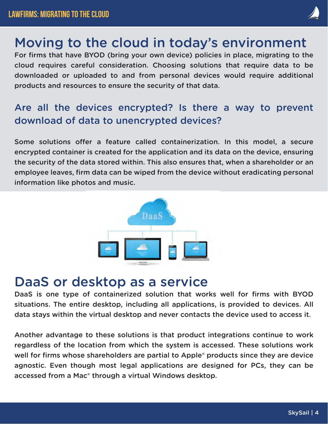# Moving to the cloud in today's environment

For firms that have BYOD (bring your own device) policies in place, migrating to the cloud requires careful consideration. Choosing solutions that require data to be downloaded or uploaded to and from personal devices would require additional products and resources to ensure the security of that data.

#### Are all the devices encrypted? Is there a way to prevent download of data to unencrypted devices?

Some solutions offer a feature called containerization. In this model, a secure encrypted container is created for the application and its data on the device, ensuring the security of the data stored within. This also ensures that, when a shareholder or an employee leaves, firm data can be wiped from the device without eradicating personal information like photos and music.



## DaaS or desktop as a service

DaaS is one type of containerized solution that works well for firms with BYOD situations. The entire desktop, including all applications, is provided to devices. All data stays within the virtual desktop and never contacts the device used to access it.

Another advantage to these solutions is that product integrations continue to work regardless of the location from which the system is accessed. These solutions work well for firms whose shareholders are partial to Apple<sup>®</sup> products since they are device agnostic. Even though most legal applications are designed for PCs, they can be accessed from a Mac® through a virtual Windows desktop.